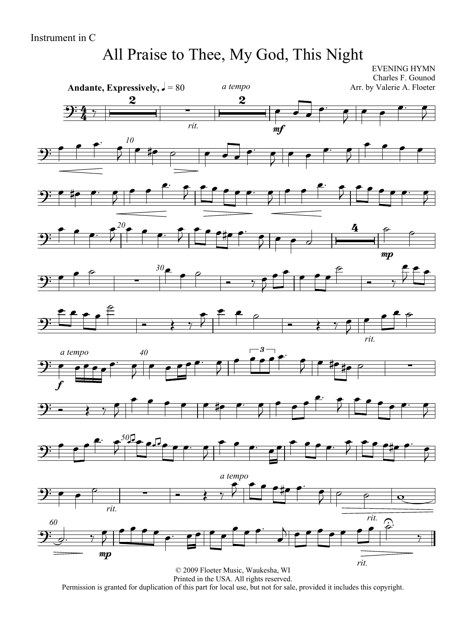## All Praise to Thee, My God, This Night

EVENING HYMN

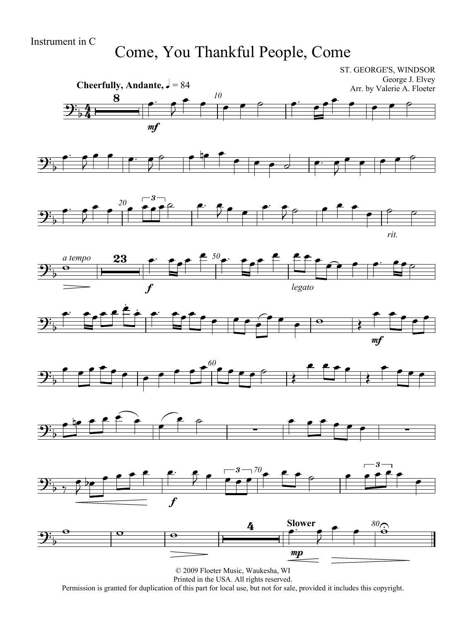Come, You Thankful People, Come

ST. GEORGE'S, WINDSOR



Printed in the USA. All rights reserved.

Permission is granted for duplication of this part for local use, but not for sale, provided it includes this copyright.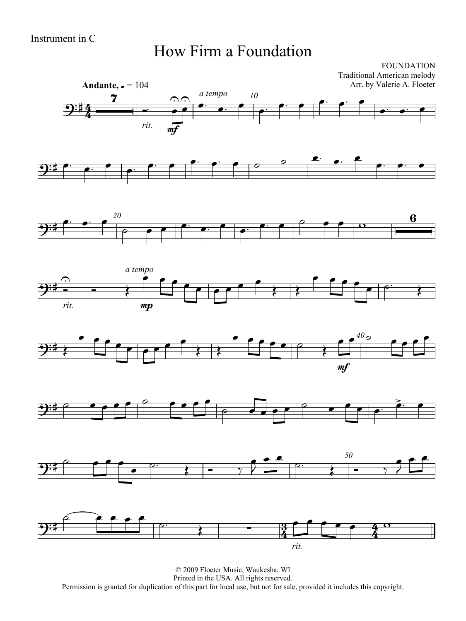#### How Firm a Foundation

FOUNDATION Traditional American melody Arr. by Valerie A. Floeter















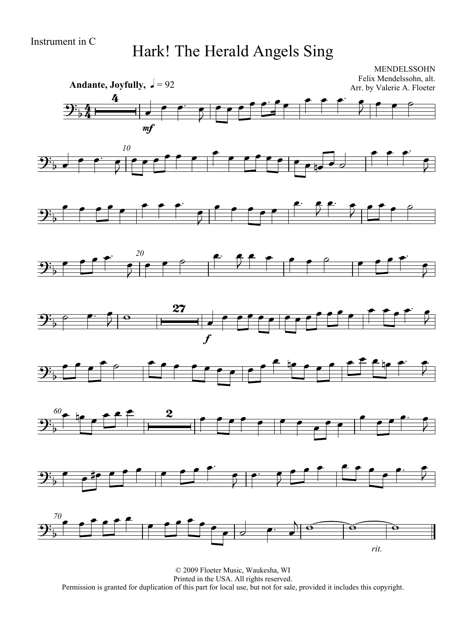#### Hark! The Herald Angels Sing

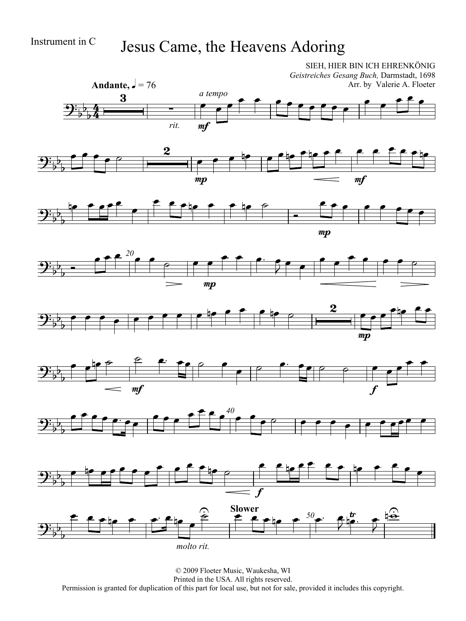### Instrument in C Jesus Came, the Heavens Adoring



Permission is granted for duplication of this part for local use, but not for sale, provided it includes this copyright.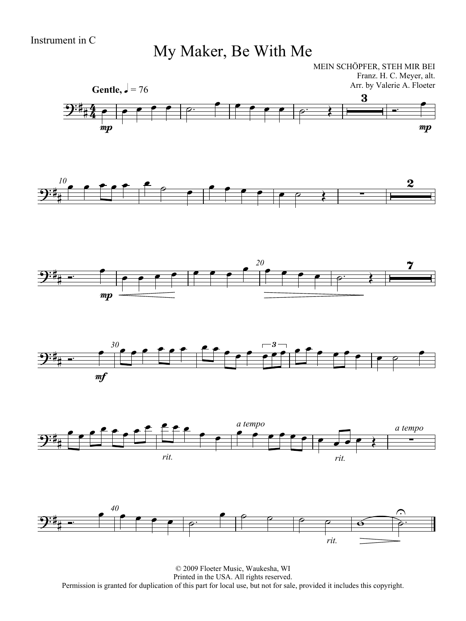My Maker, Be With Me

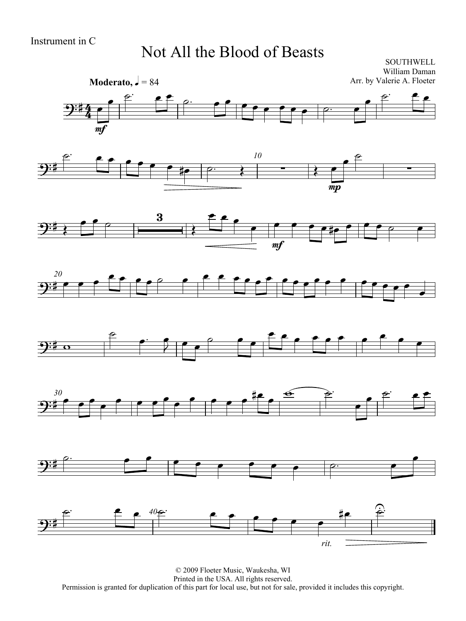#### Not All the Blood of Beasts

**SOUTHWELL** William Daman Arr. by Valerie A. Floeter















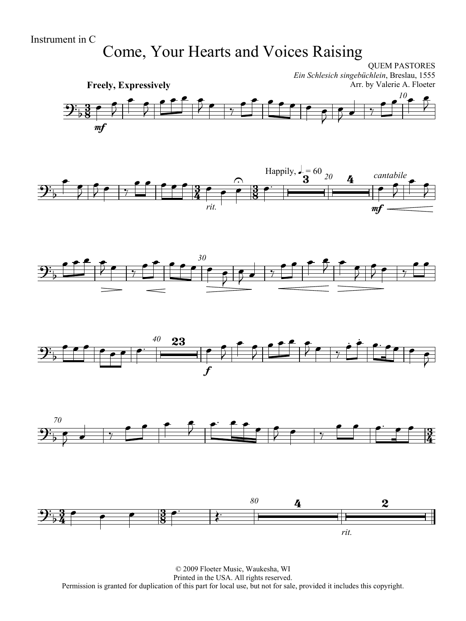Instrument in C

# Come, Your Hearts and Voices Raising

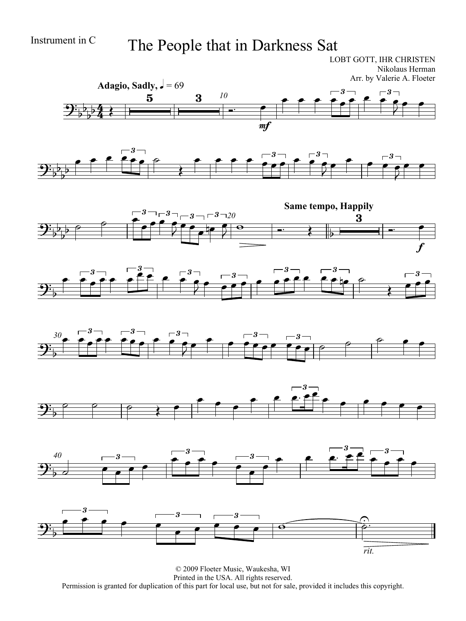### Instrument in C The People that in Darkness Sat

LOBT GOTT, IHR CHRISTEN Nikolaus Herman Arr. by Valerie A. Floeter